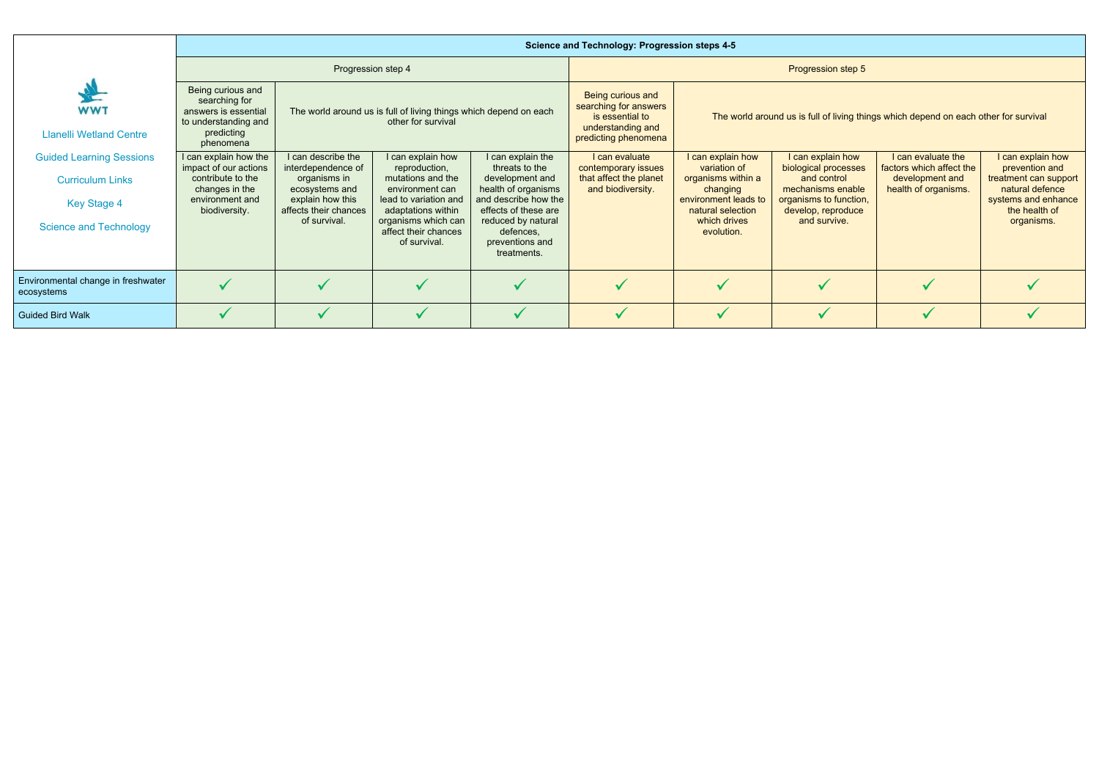|                                                                                                                   | <b>Science and Technology: Progression steps 4-5</b>                                                                      |                                                                                                                                         |                                                                                                                                                                                          |                                                                                                                                                                                                    |                                                                                                            |                                                                                                                                                |                                                                                                                                               |                                                                                           |                                                                                                                                       |  |  |  |  |
|-------------------------------------------------------------------------------------------------------------------|---------------------------------------------------------------------------------------------------------------------------|-----------------------------------------------------------------------------------------------------------------------------------------|------------------------------------------------------------------------------------------------------------------------------------------------------------------------------------------|----------------------------------------------------------------------------------------------------------------------------------------------------------------------------------------------------|------------------------------------------------------------------------------------------------------------|------------------------------------------------------------------------------------------------------------------------------------------------|-----------------------------------------------------------------------------------------------------------------------------------------------|-------------------------------------------------------------------------------------------|---------------------------------------------------------------------------------------------------------------------------------------|--|--|--|--|
|                                                                                                                   |                                                                                                                           | Progression step 4                                                                                                                      |                                                                                                                                                                                          |                                                                                                                                                                                                    | Progression step 5                                                                                         |                                                                                                                                                |                                                                                                                                               |                                                                                           |                                                                                                                                       |  |  |  |  |
| <b>WWT</b><br><b>Llanelli Wetland Centre</b>                                                                      | Being curious and<br>searching for<br>answers is essential<br>to understanding and<br>predicting<br>phenomena             |                                                                                                                                         | The world around us is full of living things which depend on each<br>other for survival                                                                                                  |                                                                                                                                                                                                    | Being curious and<br>searching for answers<br>is essential to<br>understanding and<br>predicting phenomena | The world around us is full of living things which depend on each other for survival                                                           |                                                                                                                                               |                                                                                           |                                                                                                                                       |  |  |  |  |
| <b>Guided Learning Sessions</b><br><b>Curriculum Links</b><br><b>Key Stage 4</b><br><b>Science and Technology</b> | I can explain how the<br>impact of our actions<br>contribute to the<br>changes in the<br>environment and<br>biodiversity. | I can describe the<br>interdependence of<br>organisms in<br>ecosystems and<br>explain how this<br>affects their chances<br>of survival. | I can explain how<br>reproduction,<br>mutations and the<br>environment can<br>lead to variation and<br>adaptations within<br>organisms which can<br>affect their chances<br>of survival. | I can explain the<br>threats to the<br>development and<br>health of organisms<br>and describe how the<br>effects of these are<br>reduced by natural<br>defences,<br>preventions and<br>treatments. | I can evaluate<br>contemporary issues<br>that affect the planet<br>and biodiversity.                       | I can explain how<br>variation of<br>organisms within a<br>changing<br>environment leads to<br>natural selection<br>which drives<br>evolution. | I can explain how<br>biological processes<br>and control<br>mechanisms enable<br>organisms to function,<br>develop, reproduce<br>and survive. | I can evaluate the<br>factors which affect the<br>development and<br>health of organisms. | I can explain how<br>prevention and<br>treatment can support<br>natural defence<br>systems and enhance<br>the health of<br>organisms. |  |  |  |  |
| Environmental change in freshwater<br>ecosystems                                                                  |                                                                                                                           |                                                                                                                                         |                                                                                                                                                                                          |                                                                                                                                                                                                    |                                                                                                            |                                                                                                                                                | $\checkmark$                                                                                                                                  |                                                                                           |                                                                                                                                       |  |  |  |  |
| <b>Guided Bird Walk</b>                                                                                           |                                                                                                                           |                                                                                                                                         |                                                                                                                                                                                          |                                                                                                                                                                                                    |                                                                                                            |                                                                                                                                                |                                                                                                                                               |                                                                                           |                                                                                                                                       |  |  |  |  |